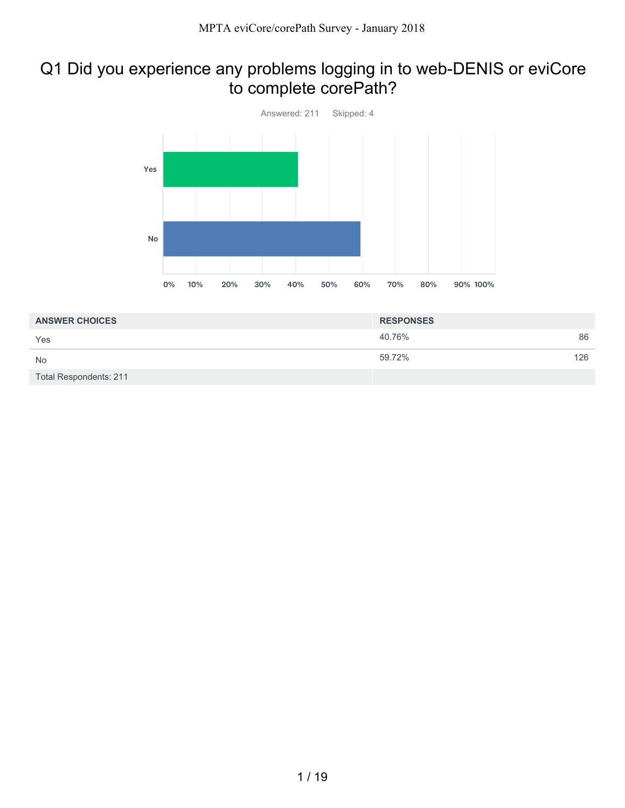# Q1 Did you experience any problems logging in to web-DENIS or eviCore to complete corePath?



| <b>ANSWER CHOICES</b>         | <b>RESPONSES</b> |     |
|-------------------------------|------------------|-----|
| Yes                           | 40.76%           | 86  |
| <b>No</b>                     | 59.72%           | 126 |
| <b>Total Respondents: 211</b> |                  |     |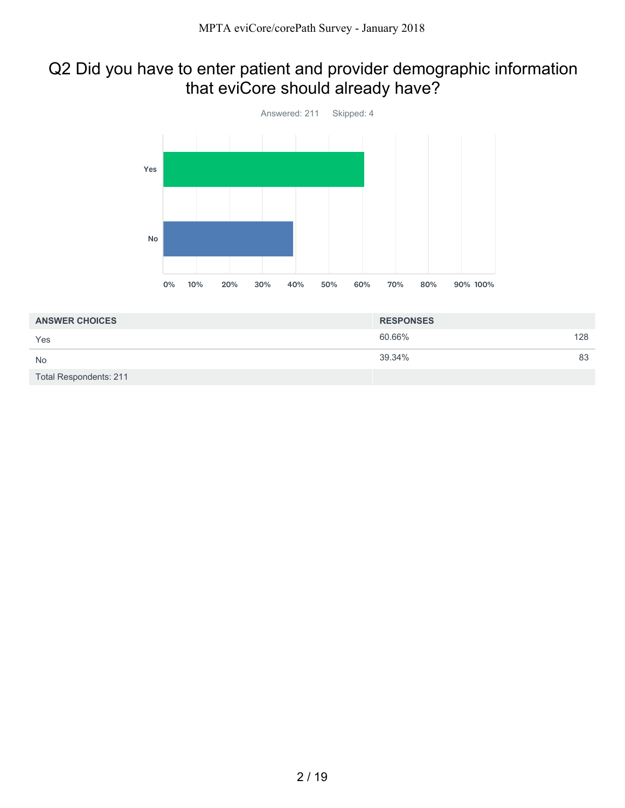# Q2 Did you have to enter patient and provider demographic information that eviCore should already have?



| <b>ANSWER CHOICES</b>         | <b>RESPONSES</b> |     |
|-------------------------------|------------------|-----|
| Yes                           | 60.66%           | 128 |
| <b>No</b>                     | 39.34%           | 83  |
| <b>Total Respondents: 211</b> |                  |     |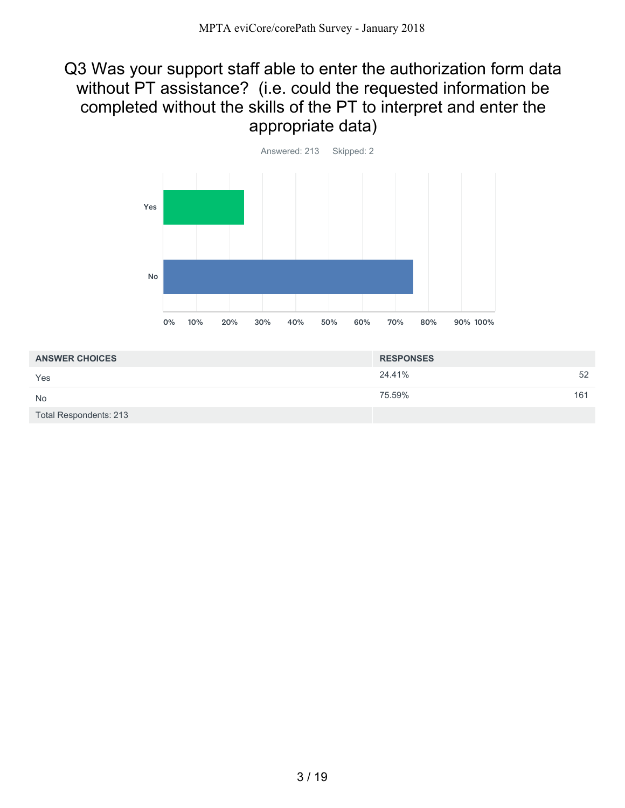#### Q3 Was your support staff able to enter the authorization form data without PT assistance? (i.e. could the requested information be completed without the skills of the PT to interpret and enter the appropriate data)



| <b>ANSWER CHOICES</b>         | <b>RESPONSES</b> |     |
|-------------------------------|------------------|-----|
| Yes                           | 24.41%           | 52  |
| <b>No</b>                     | 75.59%           | 161 |
| <b>Total Respondents: 213</b> |                  |     |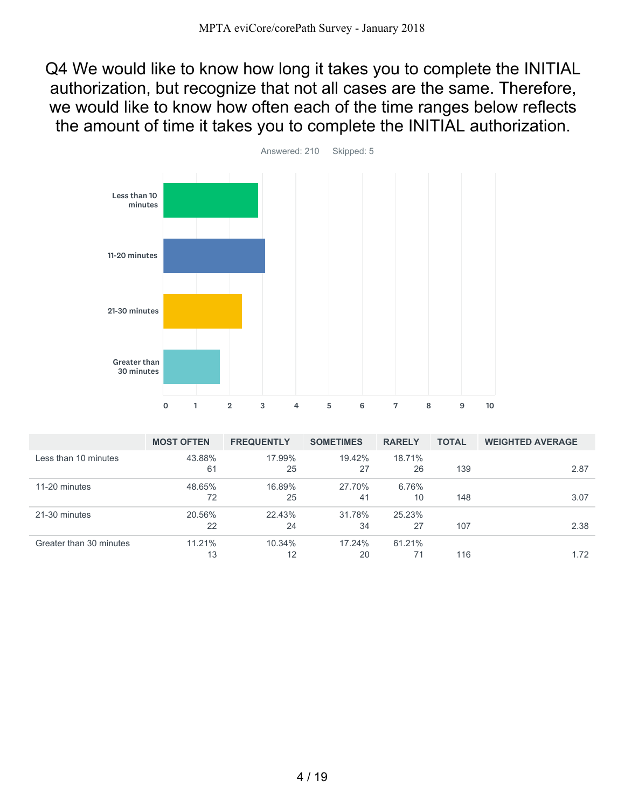Q4 We would like to know how long it takes you to complete the INITIAL authorization, but recognize that not all cases are the same. Therefore, we would like to know how often each of the time ranges below reflects the amount of time it takes you to complete the INITIAL authorization.



|                         | <b>MOST OFTEN</b> | <b>FREQUENTLY</b> | <b>SOMETIMES</b> | <b>RARELY</b> | <b>TOTAL</b> | <b>WEIGHTED AVERAGE</b> |
|-------------------------|-------------------|-------------------|------------------|---------------|--------------|-------------------------|
| Less than 10 minutes    | 43.88%<br>61      | 17.99%<br>25      | 19.42%<br>27     | 18.71%<br>26  | 139          | 2.87                    |
| 11-20 minutes           | 48.65%<br>72      | 16.89%<br>25      | 27.70%<br>41     | 6.76%<br>10   | 148          | 3.07                    |
| 21-30 minutes           | 20.56%<br>22      | 22.43%<br>24      | 31.78%<br>34     | 25.23%<br>27  | 107          | 2.38                    |
| Greater than 30 minutes | 11.21%<br>13      | $10.34\%$<br>12   | 17.24%<br>20     | 61.21%        | 116          | 1.72                    |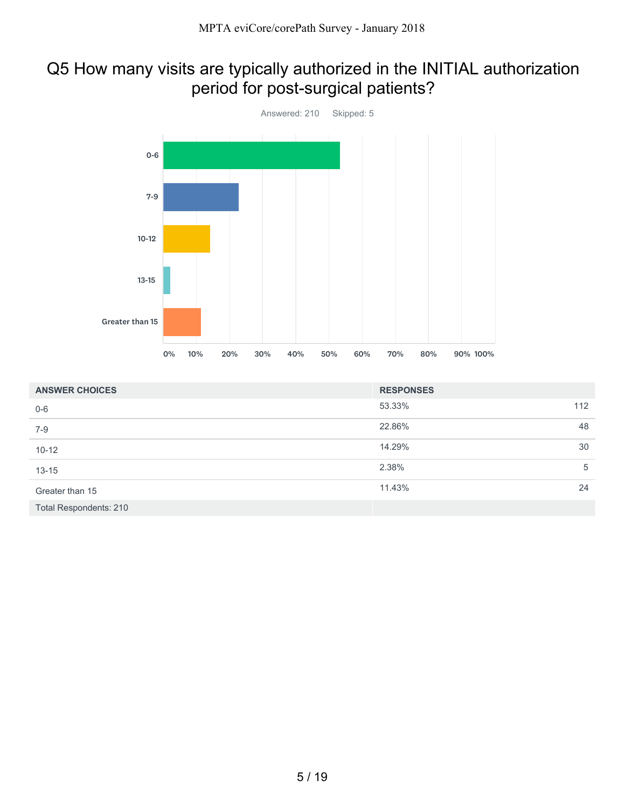### Q5 How many visits are typically authorized in the INITIAL authorization period for post-surgical patients?



| <b>ANSWER CHOICES</b>         | <b>RESPONSES</b> |     |
|-------------------------------|------------------|-----|
| $0-6$                         | 53.33%           | 112 |
| $7 - 9$                       | 22.86%           | 48  |
| $10 - 12$                     | 14.29%           | 30  |
| $13 - 15$                     | 2.38%            | 5   |
| Greater than 15               | 11.43%           | 24  |
| <b>Total Respondents: 210</b> |                  |     |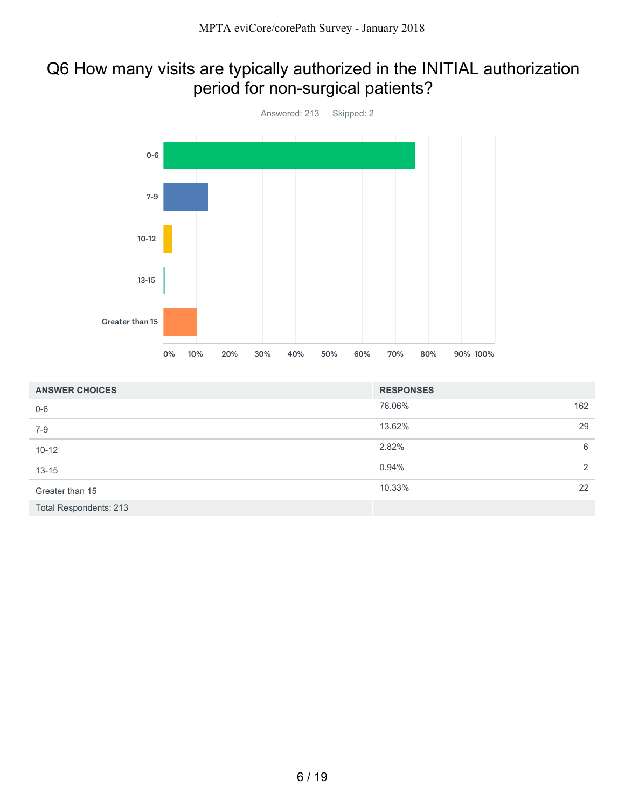### Q6 How many visits are typically authorized in the INITIAL authorization period for non-surgical patients?



| <b>ANSWER CHOICES</b>         | <b>RESPONSES</b> |     |
|-------------------------------|------------------|-----|
| $0-6$                         | 76.06%           | 162 |
| $7-9$                         | 13.62%           | 29  |
| $10 - 12$                     | 2.82%            | 6   |
| $13 - 15$                     | 0.94%            | 2   |
| Greater than 15               | 10.33%           | 22  |
| <b>Total Respondents: 213</b> |                  |     |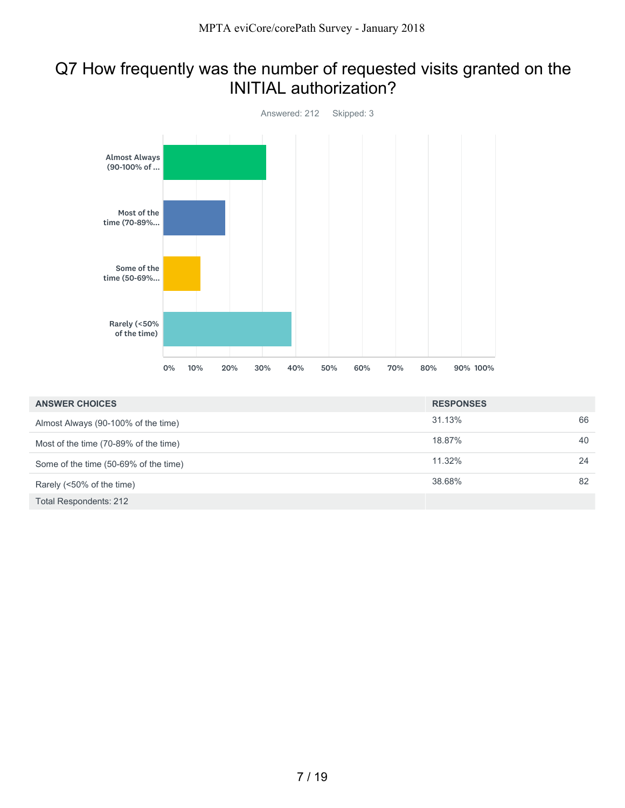## Q7 How frequently was the number of requested visits granted on the INITIAL authorization?



| <b>ANSWER CHOICES</b>                 | <b>RESPONSES</b> |    |
|---------------------------------------|------------------|----|
| Almost Always (90-100% of the time)   | 31.13%           | 66 |
| Most of the time (70-89% of the time) | 18.87%           | 40 |
| Some of the time (50-69% of the time) | 11.32%           | 24 |
| Rarely (<50% of the time)             | 38.68%           | 82 |
| Total Respondents: 212                |                  |    |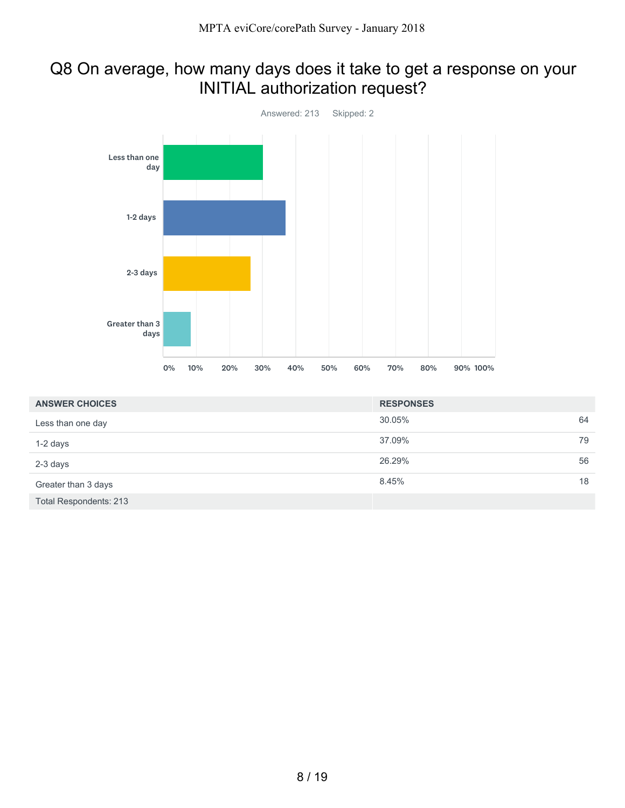# Q8 On average, how many days does it take to get a response on your INITIAL authorization request?



| <b>ANSWER CHOICES</b>  | <b>RESPONSES</b> |    |
|------------------------|------------------|----|
| Less than one day      | 30.05%           | 64 |
| 1-2 days               | 37.09%           | 79 |
| 2-3 days               | 26.29%           | 56 |
| Greater than 3 days    | 8.45%            | 18 |
| Total Respondents: 213 |                  |    |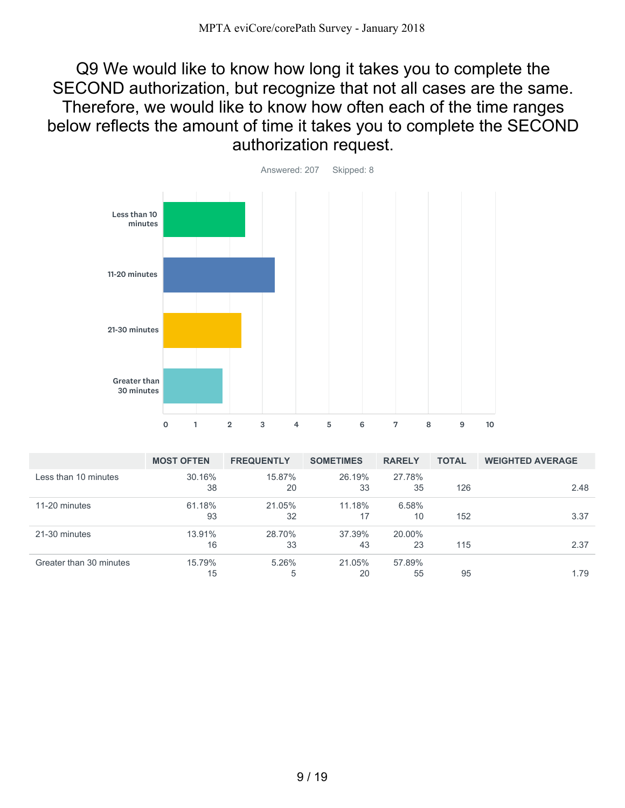Q9 We would like to know how long it takes you to complete the SECOND authorization, but recognize that not all cases are the same. Therefore, we would like to know how often each of the time ranges below reflects the amount of time it takes you to complete the SECOND authorization request.



|                         | <b>MOST OFTEN</b> | <b>FREQUENTLY</b> | <b>SOMETIMES</b> | <b>RARELY</b> | <b>TOTAL</b> | <b>WEIGHTED AVERAGE</b> |
|-------------------------|-------------------|-------------------|------------------|---------------|--------------|-------------------------|
| Less than 10 minutes    | 30.16%            | 15.87%            | 26.19%           | 27.78%        |              |                         |
|                         | 38                | 20                | 33               | 35            | 126          | 2.48                    |
| 11-20 minutes           | 61.18%            | 21.05%            | 11.18%           | 6.58%         |              |                         |
|                         | 93                | 32                | 17               | 10            | 152          | 3.37                    |
| 21-30 minutes           | 13.91%            | 28.70%            | 37.39%           | 20.00%        |              |                         |
|                         | 16                | 33                | 43               | 23            | 115          | 2.37                    |
| Greater than 30 minutes | 15.79%            | 5.26%             | 21.05%           | 57.89%        |              |                         |
|                         | 15                | 5                 | 20               | 55            | 95           | 1.79                    |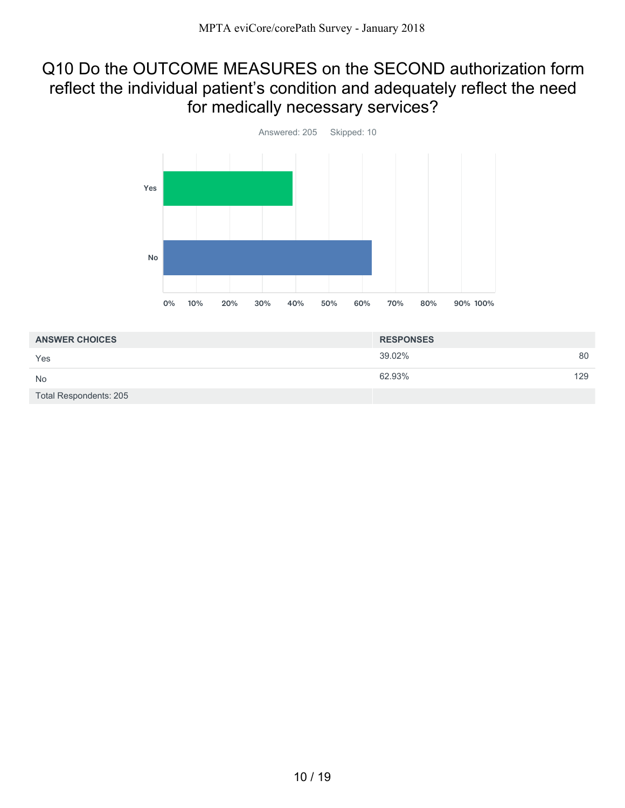### Q10 Do the OUTCOME MEASURES on the SECOND authorization form reflect the individual patient's condition and adequately reflect the need for medically necessary services?



| <b>ANSWER CHOICES</b>  | <b>RESPONSES</b> |     |
|------------------------|------------------|-----|
| Yes                    | 39.02%           | 80  |
| <b>No</b>              | 62.93%           | 129 |
| Total Respondents: 205 |                  |     |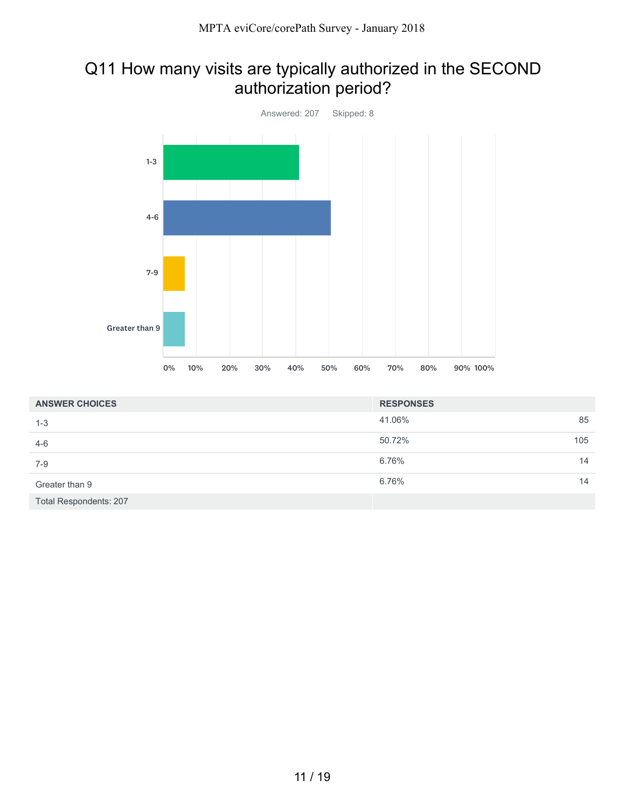# Q11 How many visits are typically authorized in the SECOND authorization period?



| <b>ANSWER CHOICES</b>         | <b>RESPONSES</b> |     |
|-------------------------------|------------------|-----|
| $1 - 3$                       | 41.06%           | 85  |
| $4-6$                         | 50.72%           | 105 |
| $7-9$                         | 6.76%            | 14  |
| Greater than 9                | 6.76%            | 14  |
| <b>Total Respondents: 207</b> |                  |     |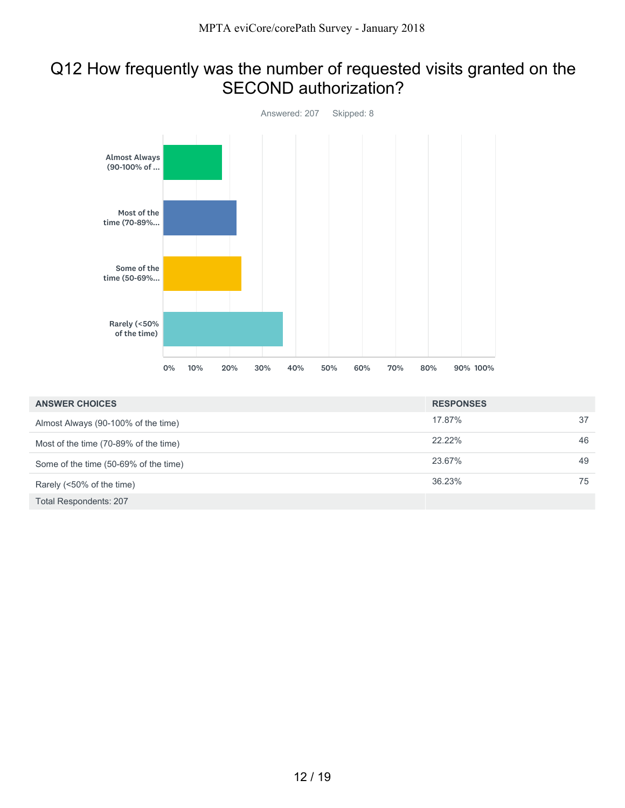## Q12 How frequently was the number of requested visits granted on the SECOND authorization?



| <b>ANSWER CHOICES</b>                 | <b>RESPONSES</b> |    |
|---------------------------------------|------------------|----|
| Almost Always (90-100% of the time)   | 17.87%           | 37 |
| Most of the time (70-89% of the time) | 22.22%           | 46 |
| Some of the time (50-69% of the time) | 23.67%           | 49 |
| Rarely (<50% of the time)             | 36.23%           | 75 |
| Total Respondents: 207                |                  |    |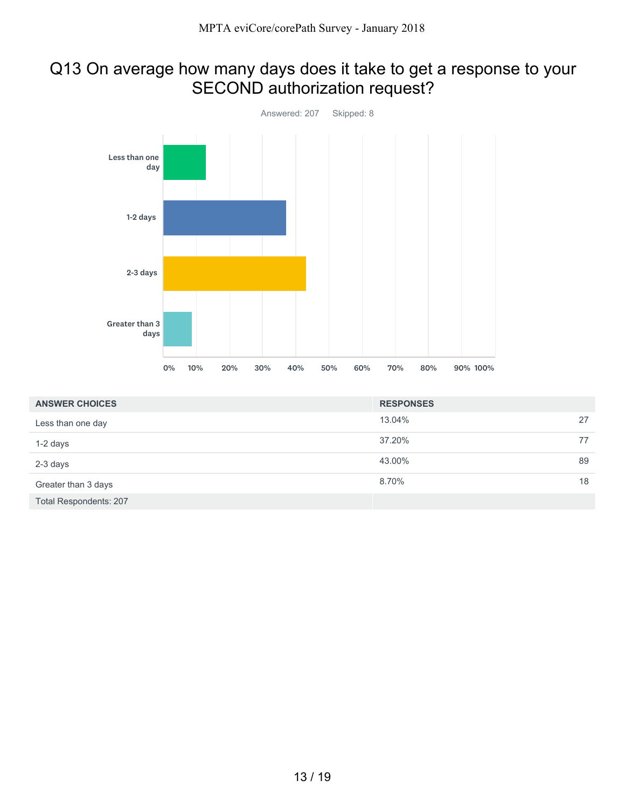# Q13 On average how many days does it take to get a response to your SECOND authorization request?



| <b>ANSWER CHOICES</b>         | <b>RESPONSES</b> |    |
|-------------------------------|------------------|----|
| Less than one day             | 13.04%           | 27 |
| 1-2 days                      | 37.20%           | 77 |
| 2-3 days                      | 43.00%           | 89 |
| Greater than 3 days           | 8.70%            | 18 |
| <b>Total Respondents: 207</b> |                  |    |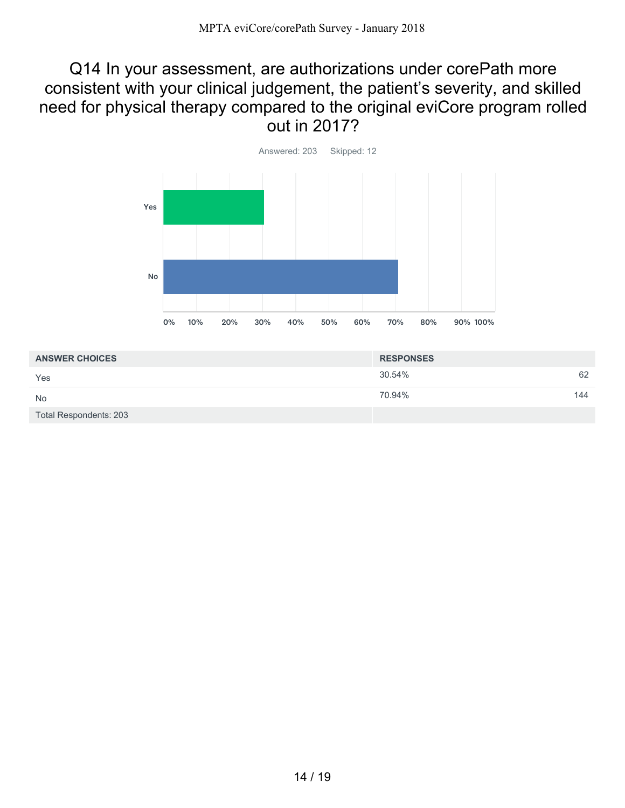#### Q14 In your assessment, are authorizations under corePath more consistent with your clinical judgement, the patient's severity, and skilled need for physical therapy compared to the original eviCore program rolled out in 2017?



| <b>ANSWER CHOICES</b>         | <b>RESPONSES</b> |     |
|-------------------------------|------------------|-----|
| Yes                           | 30.54%           | 62  |
| <b>No</b>                     | 70.94%           | 144 |
| <b>Total Respondents: 203</b> |                  |     |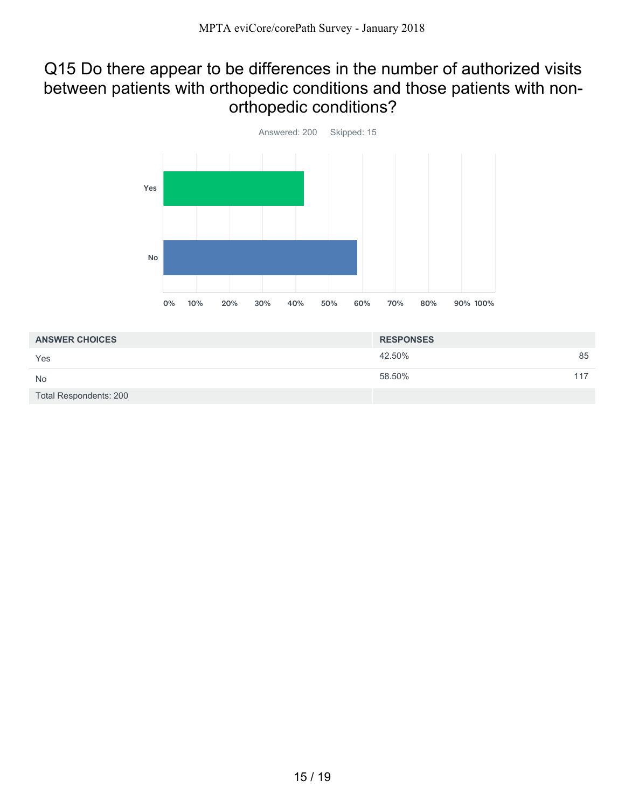#### Q15 Do there appear to be differences in the number of authorized visits between patients with orthopedic conditions and those patients with nonorthopedic conditions?



| <b>ANSWER CHOICES</b>         | <b>RESPONSES</b> |     |
|-------------------------------|------------------|-----|
| Yes                           | 42.50%           | 85  |
| <b>No</b>                     | 58.50%           | 117 |
| <b>Total Respondents: 200</b> |                  |     |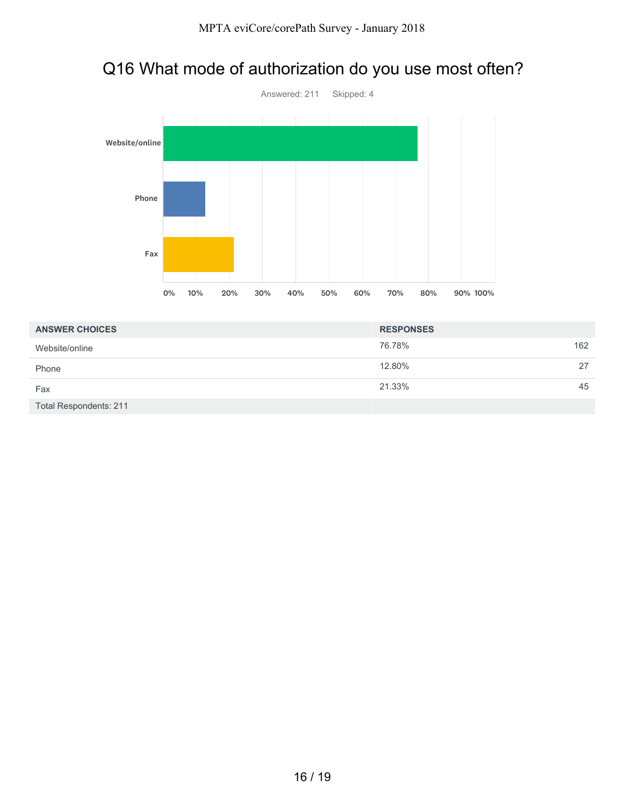## Q16 What mode of authorization do you use most often?



| <b>ANSWER CHOICES</b>         | <b>RESPONSES</b> |     |
|-------------------------------|------------------|-----|
| Website/online                | 76.78%           | 162 |
| Phone                         | 12.80%           | 27  |
| Fax                           | 21.33%           | 45  |
| <b>Total Respondents: 211</b> |                  |     |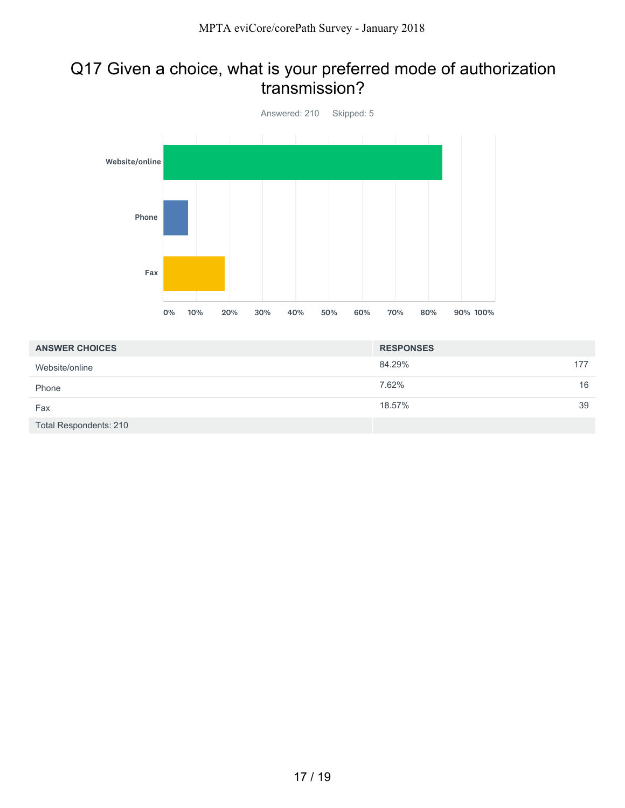#### Q17 Given a choice, what is your preferred mode of authorization transmission?



| <b>ANSWER CHOICES</b>  | <b>RESPONSES</b> |     |
|------------------------|------------------|-----|
| Website/online         | 84.29%           | 177 |
| Phone                  | 7.62%            | 16  |
| Fax                    | 18.57%           | 39  |
| Total Respondents: 210 |                  |     |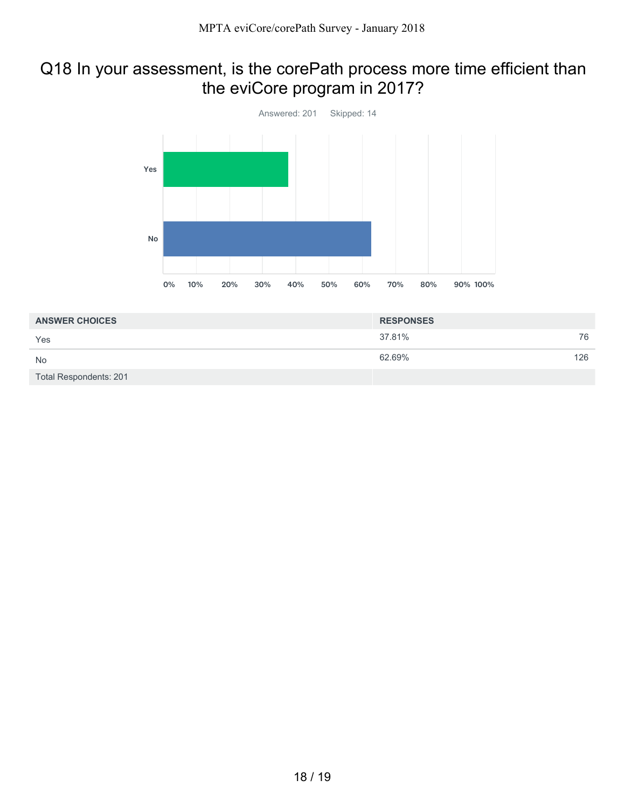### Q18 In your assessment, is the corePath process more time efficient than the eviCore program in 2017?



| <b>ANSWER CHOICES</b>  | <b>RESPONSES</b> |     |
|------------------------|------------------|-----|
| Yes                    | 37.81%           | 76  |
| <b>No</b>              | 62.69%           | 126 |
| Total Respondents: 201 |                  |     |